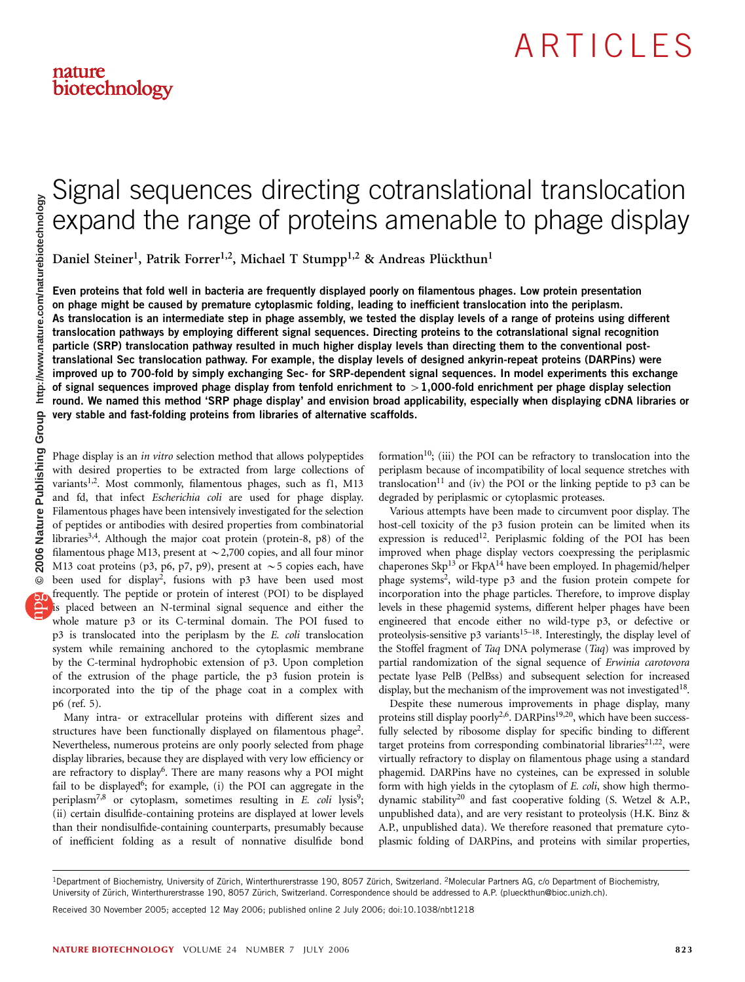# Signal sequences directing cotranslational translocation expand the range of proteins amenable to phage display

Daniel Steiner<sup>1</sup>, Patrik Forrer<sup>1,2</sup>, Michael T Stumpp<sup>1,2</sup> & Andreas Plückthun<sup>1</sup>

Even proteins that fold well in bacteria are frequently displayed poorly on filamentous phages. Low protein presentation on phage might be caused by premature cytoplasmic folding, leading to inefficient translocation into the periplasm. As translocation is an intermediate step in phage assembly, we tested the display levels of a range of proteins using different translocation pathways by employing different signal sequences. Directing proteins to the cotranslational signal recognition particle (SRP) translocation pathway resulted in much higher display levels than directing them to the conventional posttranslational Sec translocation pathway. For example, the display levels of designed ankyrin-repeat proteins (DARPins) were improved up to 700-fold by simply exchanging Sec- for SRP-dependent signal sequences. In model experiments this exchange of signal sequences improved phage display from tenfold enrichment to  $>1,000$ -fold enrichment per phage display selection round. We named this method 'SRP phage display' and envision broad applicability, especially when displaying cDNA libraries or very stable and fast-folding proteins from libraries of alternative scaffolds.

Phage display is an in vitro selection method that allows polypeptides with desired properties to be extracted from large collections of variants<sup>1,2</sup>. Most commonly, filamentous phages, such as f1, M13 and fd, that infect Escherichia coli are used for phage display. Filamentous phages have been intensively investigated for the selection of peptides or antibodies with desired properties from combinatorial libraries<sup>3,4</sup>. Although the major coat protein (protein-8, p8) of the filamentous phage M13, present at  $\sim$  2,700 copies, and all four minor M13 coat proteins (p3, p6, p7, p9), present at  $\sim$  5 copies each, have been used for display2, fusions with p3 have been used most frequently. The peptide or protein of interest (POI) to be displayed is placed between an N-terminal signal sequence and either the whole mature p3 or its C-terminal domain. The POI fused to p3 is translocated into the periplasm by the E. coli translocation system while remaining anchored to the cytoplasmic membrane by the C-terminal hydrophobic extension of p3. Upon completion of the extrusion of the phage particle, the p3 fusion protein is incorporated into the tip of the phage coat in a complex with p6 (ref. 5).

Many intra- or extracellular proteins with different sizes and structures have been functionally displayed on filamentous phage2. Nevertheless, numerous proteins are only poorly selected from phage display libraries, because they are displayed with very low efficiency or are refractory to display<sup>6</sup>. There are many reasons why a POI might fail to be displayed<sup>6</sup>; for example, (i) the POI can aggregate in the periplasm<sup>7,8</sup> or cytoplasm, sometimes resulting in E. coli lysis<sup>9</sup>; (ii) certain disulfide-containing proteins are displayed at lower levels than their nondisulfide-containing counterparts, presumably because of inefficient folding as a result of nonnative disulfide bond

formation<sup>10</sup>; (iii) the POI can be refractory to translocation into the periplasm because of incompatibility of local sequence stretches with  $translocation<sup>11</sup>$  and (iv) the POI or the linking peptide to p3 can be degraded by periplasmic or cytoplasmic proteases.

Various attempts have been made to circumvent poor display. The host-cell toxicity of the p3 fusion protein can be limited when its expression is reduced<sup>12</sup>. Periplasmic folding of the POI has been improved when phage display vectors coexpressing the periplasmic chaperones Skp<sup>13</sup> or FkpA<sup>14</sup> have been employed. In phagemid/helper phage systems2, wild-type p3 and the fusion protein compete for incorporation into the phage particles. Therefore, to improve display levels in these phagemid systems, different helper phages have been engineered that encode either no wild-type p3, or defective or proteolysis-sensitive p3 variants<sup>15–18</sup>. Interestingly, the display level of the Stoffel fragment of Taq DNA polymerase (Taq) was improved by partial randomization of the signal sequence of Erwinia carotovora pectate lyase PelB (PelBss) and subsequent selection for increased display, but the mechanism of the improvement was not investigated  $18$ .

Despite these numerous improvements in phage display, many proteins still display poorly<sup>2,6</sup>. DARPins<sup>19,20</sup>, which have been successfully selected by ribosome display for specific binding to different target proteins from corresponding combinatorial libraries $21,22$ , were virtually refractory to display on filamentous phage using a standard phagemid. DARPins have no cysteines, can be expressed in soluble form with high yields in the cytoplasm of E. coli, show high thermodynamic stability<sup>20</sup> and fast cooperative folding (S. Wetzel & A.P., unpublished data), and are very resistant to proteolysis (H.K. Binz & A.P., unpublished data). We therefore reasoned that premature cytoplasmic folding of DARPins, and proteins with similar properties,

Received 30 November 2005; accepted 12 May 2006; published online 2 July 2006; doi:10.1038/nbt1218

<sup>&</sup>lt;sup>1</sup>Department of Biochemistry, University of Zürich, Winterthurerstrasse 190, 8057 Zürich, Switzerland. <sup>2</sup>Molecular Partners AG, c/o Department of Biochemistry, University of Zürich, Winterthurerstrasse 190, 8057 Zürich, Switzerland. Correspondence should be addressed to A.P. (plueckthun@bioc.unizh.ch).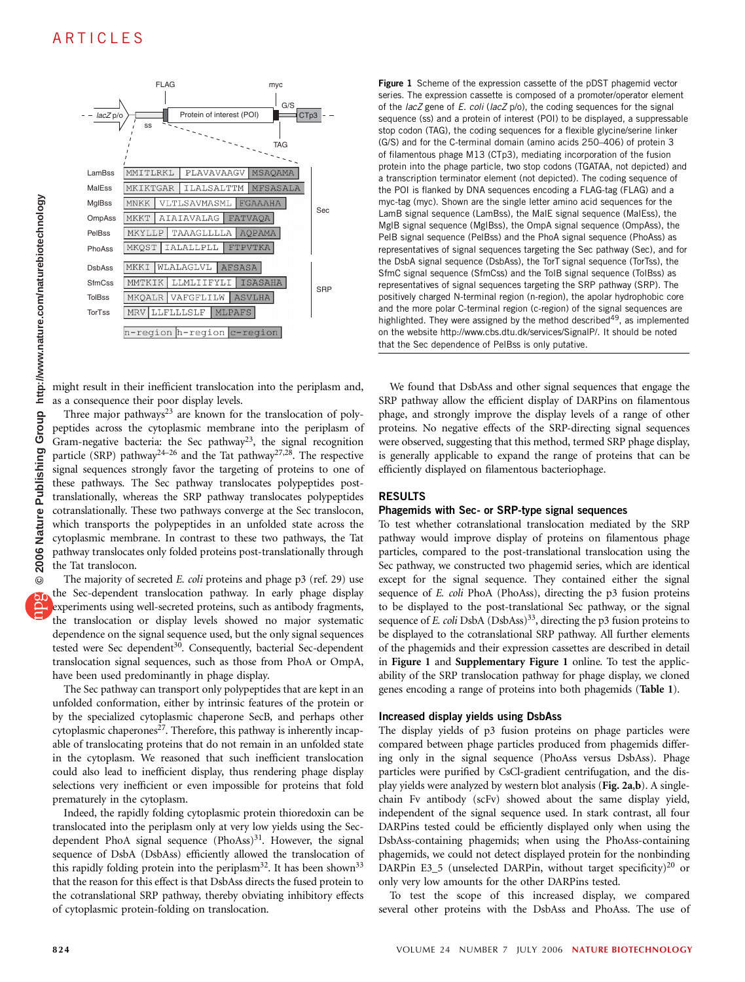

might result in their inefficient translocation into the periplasm and, as a consequence their poor display levels.

Three major pathways $23$  are known for the translocation of polypeptides across the cytoplasmic membrane into the periplasm of Gram-negative bacteria: the Sec pathway23, the signal recognition particle (SRP) pathway<sup>24–26</sup> and the Tat pathway<sup>27,28</sup>. The respective signal sequences strongly favor the targeting of proteins to one of these pathways. The Sec pathway translocates polypeptides posttranslationally, whereas the SRP pathway translocates polypeptides cotranslationally. These two pathways converge at the Sec translocon, which transports the polypeptides in an unfolded state across the cytoplasmic membrane. In contrast to these two pathways, the Tat pathway translocates only folded proteins post-translationally through the Tat translocon.

The majority of secreted E. coli proteins and phage p3 (ref. 29) use the Sec-dependent translocation pathway. In early phage display experiments using well-secreted proteins, such as antibody fragments, the translocation or display levels showed no major systematic dependence on the signal sequence used, but the only signal sequences tested were Sec dependent<sup>30</sup>. Consequently, bacterial Sec-dependent translocation signal sequences, such as those from PhoA or OmpA, have been used predominantly in phage display.

The Sec pathway can transport only polypeptides that are kept in an unfolded conformation, either by intrinsic features of the protein or by the specialized cytoplasmic chaperone SecB, and perhaps other cytoplasmic chaperones<sup>27</sup>. Therefore, this pathway is inherently incapable of translocating proteins that do not remain in an unfolded state in the cytoplasm. We reasoned that such inefficient translocation could also lead to inefficient display, thus rendering phage display selections very inefficient or even impossible for proteins that fold prematurely in the cytoplasm.

Indeed, the rapidly folding cytoplasmic protein thioredoxin can be translocated into the periplasm only at very low yields using the Secdependent PhoA signal sequence  $(PhoAss)^{31}$ . However, the signal sequence of DsbA (DsbAss) efficiently allowed the translocation of this rapidly folding protein into the periplasm<sup>32</sup>. It has been shown<sup>33</sup> that the reason for this effect is that DsbAss directs the fused protein to the cotranslational SRP pathway, thereby obviating inhibitory effects of cytoplasmic protein-folding on translocation.

Figure 1 Scheme of the expression cassette of the pDST phagemid vector series. The expression cassette is composed of a promoter/operator element of the lacZ gene of E. coli (lacZ p/o), the coding sequences for the signal sequence (ss) and a protein of interest (POI) to be displayed, a suppressable stop codon (TAG), the coding sequences for a flexible glycine/serine linker (G/S) and for the C-terminal domain (amino acids 250–406) of protein 3 of filamentous phage M13 (CTp3), mediating incorporation of the fusion protein into the phage particle, two stop codons (TGATAA, not depicted) and a transcription terminator element (not depicted). The coding sequence of the POI is flanked by DNA sequences encoding a FLAG-tag (FLAG) and a myc-tag (myc). Shown are the single letter amino acid sequences for the LamB signal sequence (LamBss), the MalE signal sequence (MalEss), the MglB signal sequence (MglBss), the OmpA signal sequence (OmpAss), the PelB signal sequence (PelBss) and the PhoA signal sequence (PhoAss) as representatives of signal sequences targeting the Sec pathway (Sec), and for the DsbA signal sequence (DsbAss), the TorT signal sequence (TorTss), the SfmC signal sequence (SfmCss) and the TolB signal sequence (TolBss) as representatives of signal sequences targeting the SRP pathway (SRP). The positively charged N-terminal region (n-region), the apolar hydrophobic core and the more polar C-terminal region (c-region) of the signal sequences are highlighted. They were assigned by the method described<sup>49</sup>, as implemented on the website http://www.cbs.dtu.dk/services/SignalP/. It should be noted that the Sec dependence of PelBss is only putative.

We found that DsbAss and other signal sequences that engage the SRP pathway allow the efficient display of DARPins on filamentous phage, and strongly improve the display levels of a range of other proteins. No negative effects of the SRP-directing signal sequences were observed, suggesting that this method, termed SRP phage display, is generally applicable to expand the range of proteins that can be efficiently displayed on filamentous bacteriophage.

### RESULTS

# Phagemids with Sec- or SRP-type signal sequences

To test whether cotranslational translocation mediated by the SRP pathway would improve display of proteins on filamentous phage particles, compared to the post-translational translocation using the Sec pathway, we constructed two phagemid series, which are identical except for the signal sequence. They contained either the signal sequence of E. coli PhoA (PhoAss), directing the p3 fusion proteins to be displayed to the post-translational Sec pathway, or the signal sequence of E. coli DsbA (DsbAss)<sup>33</sup>, directing the p3 fusion proteins to be displayed to the cotranslational SRP pathway. All further elements of the phagemids and their expression cassettes are described in detail in Figure 1 and Supplementary Figure 1 online. To test the applicability of the SRP translocation pathway for phage display, we cloned genes encoding a range of proteins into both phagemids (Table 1).

### Increased display yields using DsbAss

The display yields of p3 fusion proteins on phage particles were compared between phage particles produced from phagemids differing only in the signal sequence (PhoAss versus DsbAss). Phage particles were purified by CsCl-gradient centrifugation, and the display yields were analyzed by western blot analysis (Fig. 2a,b). A singlechain Fv antibody (scFv) showed about the same display yield, independent of the signal sequence used. In stark contrast, all four DARPins tested could be efficiently displayed only when using the DsbAss-containing phagemids; when using the PhoAss-containing phagemids, we could not detect displayed protein for the nonbinding DARPin E3\_5 (unselected DARPin, without target specificity)<sup>20</sup> or only very low amounts for the other DARPins tested.

To test the scope of this increased display, we compared several other proteins with the DsbAss and PhoAss. The use of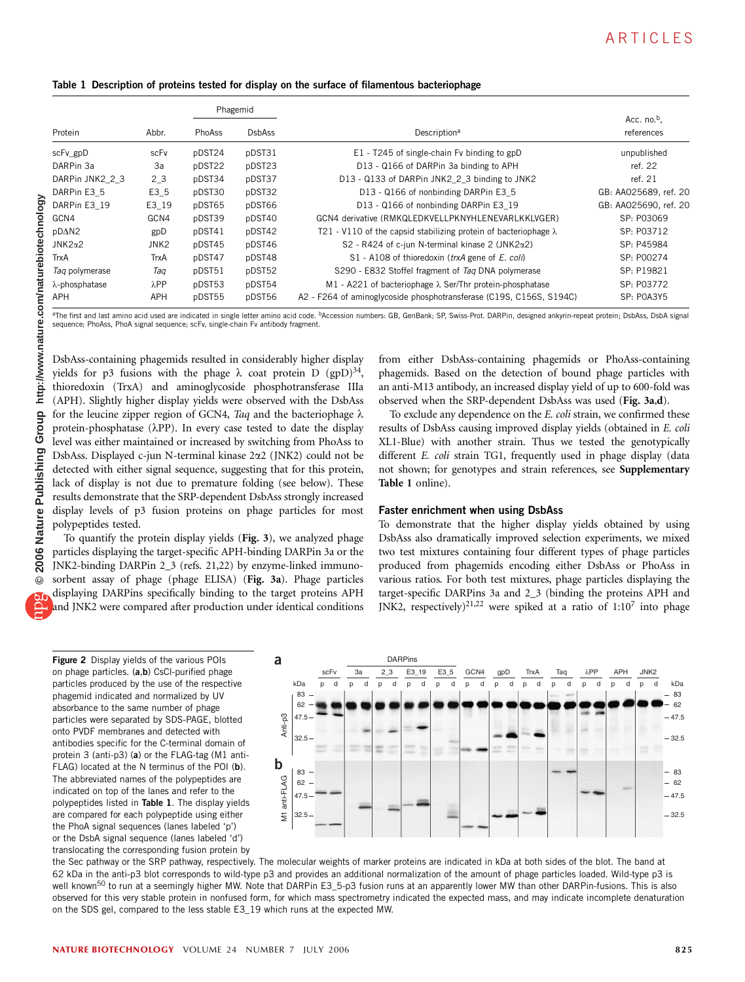|  |  | Table 1  Description of proteins tested for display on the surface of filamentous bacteriophage |  |  |  |  |
|--|--|-------------------------------------------------------------------------------------------------|--|--|--|--|
|--|--|-------------------------------------------------------------------------------------------------|--|--|--|--|

|                 |              | Phagemid |               |                                                                         |                              |  |
|-----------------|--------------|----------|---------------|-------------------------------------------------------------------------|------------------------------|--|
| Protein         | Abbr.        | PhoAss   | <b>DsbAss</b> | Description <sup>a</sup>                                                | Acc. $no.^b$ .<br>references |  |
| scFv_gpD        | scFv         | pDST24   | pDST31        | E1 - T245 of single-chain Fv binding to gpD                             | unpublished                  |  |
| DARPin 3a       | За           | pDST22   | pDST23        | D13 - Q166 of DARPin 3a binding to APH                                  | ref. 22                      |  |
| DARPin JNK2 2 3 | $2_{-}3$     | pDST34   | pDST37        | D13 - Q133 of DARPin JNK2 2 3 binding to JNK2                           | ref. 21                      |  |
| DARPin E3 5     | E3 5         | pDST30   | pDST32        | D13 - Q166 of nonbinding DARPin E3 5                                    | GB: AA025689, ref. 20        |  |
| DARPin E3 19    | E3 19        | pDST65   | pDST66        | D13 - Q166 of nonbinding DARPin E3 19                                   | GB: AA025690, ref. 20        |  |
| GCN4            | GCN4         | pDST39   | pDST40        | GCN4 derivative (RMKQLEDKVELLPKNYHLENEVARLKKLVGER)                      | SP: P03069                   |  |
| pD $\Delta$ N2  | gpD          | pDST41   | pDST42        | T21 - V110 of the capsid stabilizing protein of bacteriophage $\lambda$ | SP: P03712                   |  |
| $JNK2\alpha2$   | JNK2         | pDST45   | pDST46        | S2 - R424 of c-jun N-terminal kinase 2 (JNK2 $\alpha$ 2)                | SP: P45984                   |  |
| TrxA            | TrxA         | pDST47   | pDST48        | S1 - A108 of thioredoxin (trxA gene of E. coli)                         | SP: P00274                   |  |
| Tag polymerase  | Tag          | pDST51   | pDST52        | S290 - E832 Stoffel fragment of Tag DNA polymerase                      | SP: P19821                   |  |
| λ-phosphatase   | $\lambda$ PP | pDST53   | pDST54        | M1 - A221 of bacteriophage $\lambda$ Ser/Thr protein-phosphatase        | SP: P03772                   |  |
| APH             | APH          | pDST55   | pDST56        | A2 - F264 of aminoglycoside phosphotransferase (C19S, C156S, S194C)     | SP: POA3Y5                   |  |

<sup>a</sup>The first and last amino acid used are indicated in single letter amino acid code. <sup>b</sup>Accession numbers: GB, GenBank; SP, Swiss-Prot. DARPin, designed ankyrin-repeat protein; DsbAss, DsbA signal sequence; PhoAss, PhoA signal sequence; scFv, single-chain Fv antibody fragment.

Table 1 online).

DsbAss-containing phagemids resulted in considerably higher display yields for p3 fusions with the phage  $\lambda$  coat protein D (gpD)<sup>34</sup>, thioredoxin (TrxA) and aminoglycoside phosphotransferase IIIa (APH). Slightly higher display yields were observed with the DsbAss for the leucine zipper region of GCN4, Taq and the bacteriophage  $\lambda$ protein-phosphatase  $(\lambda PP)$ . In every case tested to date the display level was either maintained or increased by switching from PhoAss to DsbAss. Displayed c-jun N-terminal kinase 2a2 (JNK2) could not be detected with either signal sequence, suggesting that for this protein, lack of display is not due to premature folding (see below). These results demonstrate that the SRP-dependent DsbAss strongly increased display levels of p3 fusion proteins on phage particles for most polypeptides tested.

To quantify the protein display yields (Fig. 3), we analyzed phage particles displaying the target-specific APH-binding DARPin 3a or the JNK2-binding DARPin 2\_3 (refs. 21,22) by enzyme-linked immunosorbent assay of phage (phage ELISA) (Fig. 3a). Phage particles displaying DARPins specifically binding to the target proteins APH and JNK2 were compared after production under identical conditions

Figure 2 Display yields of the various POIs on phage particles. (a,b) CsCl-purified phage particles produced by the use of the respective phagemid indicated and normalized by UV absorbance to the same number of phage particles were separated by SDS-PAGE, blotted onto PVDF membranes and detected with antibodies specific for the C-terminal domain of protein 3 (anti-p3) (a) or the FLAG-tag (M1 anti-FLAG) located at the N terminus of the POI (b). The abbreviated names of the polypeptides are indicated on top of the lanes and refer to the polypeptides listed in Table 1. The display yields are compared for each polypeptide using either the PhoA signal sequences (lanes labeled 'p') or the DsbA signal sequence (lanes labeled 'd') translocating the corresponding fusion protein by



Faster enrichment when using DsbAss

from either DsbAss-containing phagemids or PhoAss-containing phagemids. Based on the detection of bound phage particles with an anti-M13 antibody, an increased display yield of up to 600-fold was observed when the SRP-dependent DsbAss was used (Fig. 3a,d). To exclude any dependence on the E. coli strain, we confirmed these results of DsbAss causing improved display yields (obtained in E. coli XL1-Blue) with another strain. Thus we tested the genotypically different E. coli strain TG1, frequently used in phage display (data not shown; for genotypes and strain references, see Supplementary

To demonstrate that the higher display yields obtained by using DsbAss also dramatically improved selection experiments, we mixed two test mixtures containing four different types of phage particles produced from phagemids encoding either DsbAss or PhoAss in various ratios. For both test mixtures, phage particles displaying the target-specific DARPins 3a and 2\_3 (binding the proteins APH and JNK2, respectively)<sup>21,22</sup> were spiked at a ratio of  $1:10^7$  into phage

the Sec pathway or the SRP pathway, respectively. The molecular weights of marker proteins are indicated in kDa at both sides of the blot. The band at 62 kDa in the anti-p3 blot corresponds to wild-type p3 and provides an additional normalization of the amount of phage particles loaded. Wild-type p3 is well known<sup>50</sup> to run at a seemingly higher MW. Note that DARPin E3\_5-p3 fusion runs at an apparently lower MW than other DARPin-fusions. This is also observed for this very stable protein in nonfused form, for which mass spectrometry indicated the expected mass, and may indicate incomplete denaturation on the SDS gel, compared to the less stable E3\_19 which runs at the expected MW.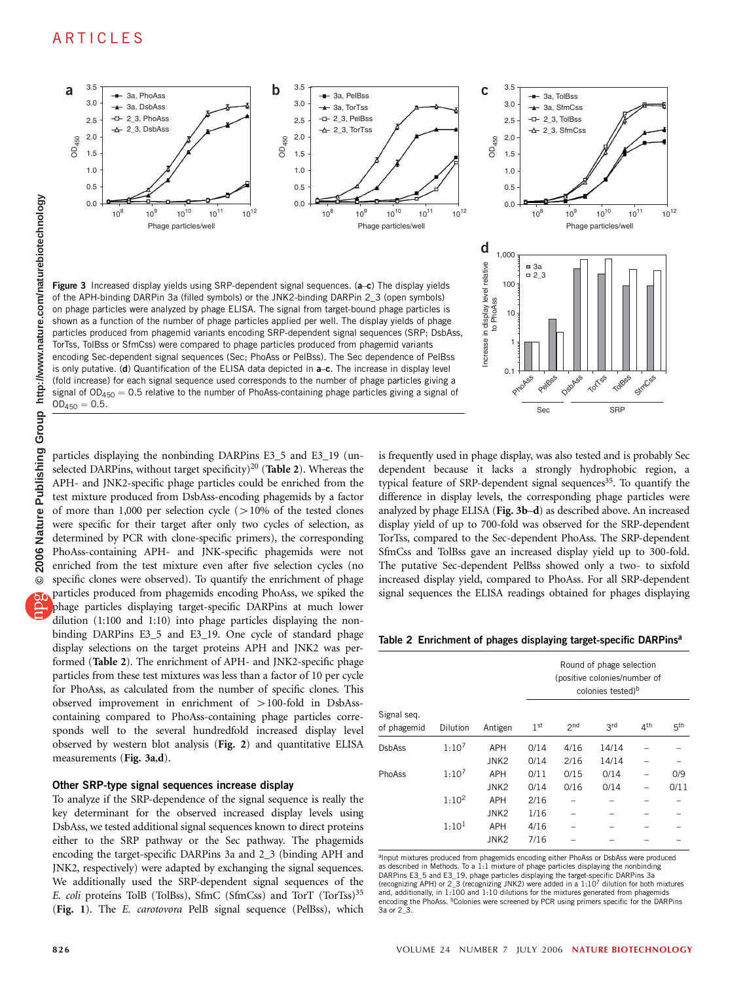# ARTICLES



TorTss, TolBss or SfmCss) were compared to phage particles produced from phagemid variants encoding Sec-dependent signal sequences (Sec; PhoAss or PelBss). The Sec dependence of PelBss is only putative. (d) Quantification of the ELISA data depicted in a–c. The increase in display level (fold increase) for each signal sequence used corresponds to the number of phage particles giving a signal of  $OD_{450} = 0.5$  relative to the number of PhoAss-containing phage particles giving a signal of  $OD_{450} = 0.5.$ 

ncrease in display level relative Increase in display level relative 1  $0.1$ TorTss Tolbes StmCss DspAs PhoAss Pelass Sec SRP

particles displaying the nonbinding DARPins E3\_5 and E3\_19 (unselected DARPins, without target specificity)<sup>20</sup> (Table 2). Whereas the APH- and JNK2-specific phage particles could be enriched from the test mixture produced from DsbAss-encoding phagemids by a factor of more than 1,000 per selection cycle  $(>10\%$  of the tested clones were specific for their target after only two cycles of selection, as determined by PCR with clone-specific primers), the corresponding PhoAss-containing APH- and JNK-specific phagemids were not enriched from the test mixture even after five selection cycles (no specific clones were observed). To quantify the enrichment of phage particles produced from phagemids encoding PhoAss, we spiked the phage particles displaying target-specific DARPins at much lower dilution (1:100 and 1:10) into phage particles displaying the nonbinding DARPins E3\_5 and E3\_19. One cycle of standard phage display selections on the target proteins APH and JNK2 was performed (Table 2). The enrichment of APH- and JNK2-specific phage particles from these test mixtures was less than a factor of 10 per cycle for PhoAss, as calculated from the number of specific clones. This observed improvement in enrichment of  $>$  100-fold in DsbAsscontaining compared to PhoAss-containing phage particles corresponds well to the several hundredfold increased display level observed by western blot analysis (Fig. 2) and quantitative ELISA measurements (Fig. 3a,d).

# Other SRP-type signal sequences increase display

To analyze if the SRP-dependence of the signal sequence is really the key determinant for the observed increased display levels using DsbAss, we tested additional signal sequences known to direct proteins either to the SRP pathway or the Sec pathway. The phagemids encoding the target-specific DARPins 3a and 2\_3 (binding APH and JNK2, respectively) were adapted by exchanging the signal sequences. We additionally used the SRP-dependent signal sequences of the E. coli proteins TolB (TolBss), SfmC (SfmCss) and TorT (TorTss)<sup>35</sup> (Fig. 1). The E. carotovora PelB signal sequence (PelBss), which dependent because it lacks a strongly hydrophobic region, a typical feature of SRP-dependent signal sequences<sup>35</sup>. To quantify the difference in display levels, the corresponding phage particles were analyzed by phage ELISA (Fig. 3b–d) as described above. An increased display yield of up to 700-fold was observed for the SRP-dependent TorTss, compared to the Sec-dependent PhoAss. The SRP-dependent SfmCss and TolBss gave an increased display yield up to 300-fold. The putative Sec-dependent PelBss showed only a two- to sixfold increased display yield, compared to PhoAss. For all SRP-dependent signal sequences the ELISA readings obtained for phages displaying

is frequently used in phage display, was also tested and is probably Sec

Table 2 Enrichment of phages displaying target-specific DARPins<sup>a</sup>

|                            |                   | Antigen                        | Round of phage selection<br>(positive colonies/number of<br>colonies tested) <sup>b</sup> |                 |                |                 |                 |  |
|----------------------------|-------------------|--------------------------------|-------------------------------------------------------------------------------------------|-----------------|----------------|-----------------|-----------------|--|
| Signal seq.<br>of phagemid | <b>Dilution</b>   |                                | 1 <sup>st</sup>                                                                           | 2 <sub>nd</sub> | 3rd            | 4 <sup>th</sup> | 5 <sup>th</sup> |  |
| <b>DsbAss</b>              | $1:10^{7}$        | <b>APH</b><br>JNK <sub>2</sub> | 0/14<br>0/14                                                                              | 4/16<br>2/16    | 14/14<br>14/14 |                 |                 |  |
| PhoAss                     | $1:10^{7}$        | APH<br>JNK <sub>2</sub>        | 0/11<br>0/14                                                                              | 0/15<br>0/16    | 0/14<br>0/14   |                 | 0/9<br>0/11     |  |
|                            | $1:10^{2}$        | <b>APH</b><br>JNK <sub>2</sub> | 2/16<br>1/16                                                                              |                 |                |                 |                 |  |
|                            | 1:10 <sup>1</sup> | <b>APH</b><br>JNK <sub>2</sub> | 4/16<br>7/16                                                                              |                 |                |                 |                 |  |

<sup>a</sup>Input mixtures produced from phagemids encoding either PhoAss or DsbAss were produced as described in Methods. To a 1:1 mixture of phage particles displaying the nonbinding DARPins E3\_5 and E3\_19, phage particles displaying the target-specific DARPins 3a (recognizing APH) or 2\_3 (recognizing JNK2) were added in a 1:107 dilution for both mixtures and, additionally, in  $1:100$  and  $1:10$  dilutions for the mixtures generated from phage encoding the PhoAss. <sup>b</sup>Colonies were screened by PCR using primers specific for the DARPins 3a or 2\_3.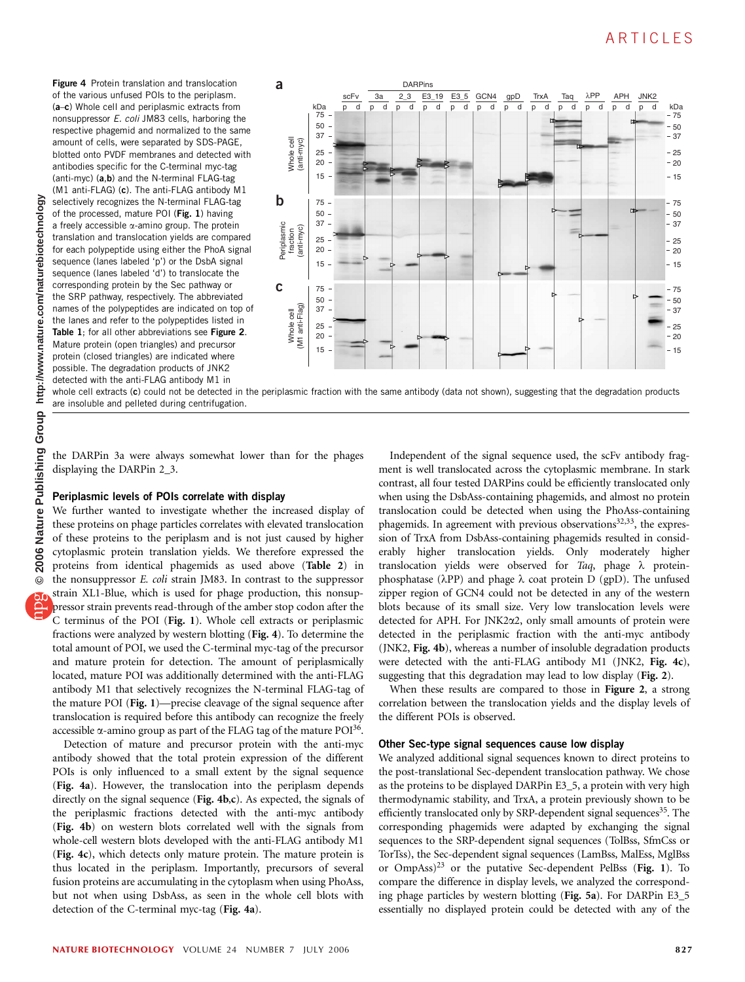**© 2006 Nature Publishing Group http://www.nature.com/naturebiotechnology**nature.com/naturebiotechnology http://www. Group Publishing Nature 2006  $\odot$ 

**Figure 4** Protein translation and translocation of the various unfused POIs to the periplasm. (a–c) Whole cell and periplasmic extracts from nonsuppressor E. coli JM83 cells, harboring the respective phagemid and normalized to the same amount of cells, were separated by SDS-PAGE, blotted onto PVDF membranes and detected with antibodies specific for the C-terminal myc-tag (anti-myc) (a,b) and the N-terminal FLAG-tag (M1 anti-FLAG) (c). The anti-FLAG antibody M1 selectively recognizes the N-terminal FLAG-tag of the processed, mature POI (Fig. 1) having a freely accessible  $\alpha$ -amino group. The protein translation and translocation yields are compared for each polypeptide using either the PhoA signal sequence (lanes labeled 'p') or the DsbA signal sequence (lanes labeled 'd') to translocate the corresponding protein by the Sec pathway or the SRP pathway, respectively. The abbreviated names of the polypeptides are indicated on top of the lanes and refer to the polypeptides listed in Table 1; for all other abbreviations see Figure 2. Mature protein (open triangles) and precursor protein (closed triangles) are indicated where possible. The degradation products of JNK2 detected with the anti-FLAG antibody M1 in



whole cell extracts (c) could not be detected in the periplasmic fraction with the same antibody (data not shown), suggesting that the degradation products are insoluble and pelleted during centrifugation.

the DARPin 3a were always somewhat lower than for the phages displaying the DARPin 2\_3.

# Periplasmic levels of POIs correlate with display

We further wanted to investigate whether the increased display of these proteins on phage particles correlates with elevated translocation of these proteins to the periplasm and is not just caused by higher cytoplasmic protein translation yields. We therefore expressed the proteins from identical phagemids as used above (Table 2) in the nonsuppressor E. coli strain JM83. In contrast to the suppressor strain XL1-Blue, which is used for phage production, this nonsuppressor strain prevents read-through of the amber stop codon after the C terminus of the POI (Fig. 1). Whole cell extracts or periplasmic fractions were analyzed by western blotting (Fig. 4). To determine the total amount of POI, we used the C-terminal myc-tag of the precursor and mature protein for detection. The amount of periplasmically located, mature POI was additionally determined with the anti-FLAG antibody M1 that selectively recognizes the N-terminal FLAG-tag of the mature POI (Fig. 1)—precise cleavage of the signal sequence after translocation is required before this antibody can recognize the freely accessible  $\alpha$ -amino group as part of the FLAG tag of the mature POI<sup>36</sup>.

Detection of mature and precursor protein with the anti-myc antibody showed that the total protein expression of the different POIs is only influenced to a small extent by the signal sequence (Fig. 4a). However, the translocation into the periplasm depends directly on the signal sequence (Fig. 4b,c). As expected, the signals of the periplasmic fractions detected with the anti-myc antibody (Fig. 4b) on western blots correlated well with the signals from whole-cell western blots developed with the anti-FLAG antibody M1 (Fig. 4c), which detects only mature protein. The mature protein is thus located in the periplasm. Importantly, precursors of several fusion proteins are accumulating in the cytoplasm when using PhoAss, but not when using DsbAss, as seen in the whole cell blots with detection of the C-terminal myc-tag (Fig. 4a).

Independent of the signal sequence used, the scFv antibody fragment is well translocated across the cytoplasmic membrane. In stark contrast, all four tested DARPins could be efficiently translocated only when using the DsbAss-containing phagemids, and almost no protein translocation could be detected when using the PhoAss-containing phagemids. In agreement with previous observations $32,33$ , the expression of TrxA from DsbAss-containing phagemids resulted in considerably higher translocation yields. Only moderately higher translocation yields were observed for Taq, phage  $\lambda$  proteinphosphatase ( $\lambda PP$ ) and phage  $\lambda$  coat protein D (gpD). The unfused zipper region of GCN4 could not be detected in any of the western blots because of its small size. Very low translocation levels were detected for APH. For JNK2a2, only small amounts of protein were detected in the periplasmic fraction with the anti-myc antibody (JNK2, Fig. 4b), whereas a number of insoluble degradation products were detected with the anti-FLAG antibody M1 (JNK2, Fig. 4c), suggesting that this degradation may lead to low display (Fig. 2).

When these results are compared to those in Figure 2, a strong correlation between the translocation yields and the display levels of the different POIs is observed.

### Other Sec-type signal sequences cause low display

We analyzed additional signal sequences known to direct proteins to the post-translational Sec-dependent translocation pathway. We chose as the proteins to be displayed DARPin E3\_5, a protein with very high thermodynamic stability, and TrxA, a protein previously shown to be efficiently translocated only by SRP-dependent signal sequences<sup>35</sup>. The corresponding phagemids were adapted by exchanging the signal sequences to the SRP-dependent signal sequences (TolBss, SfmCss or TorTss), the Sec-dependent signal sequences (LamBss, MalEss, MglBss or OmpAss)23 or the putative Sec-dependent PelBss (Fig. 1). To compare the difference in display levels, we analyzed the corresponding phage particles by western blotting (Fig. 5a). For DARPin E3\_5 essentially no displayed protein could be detected with any of the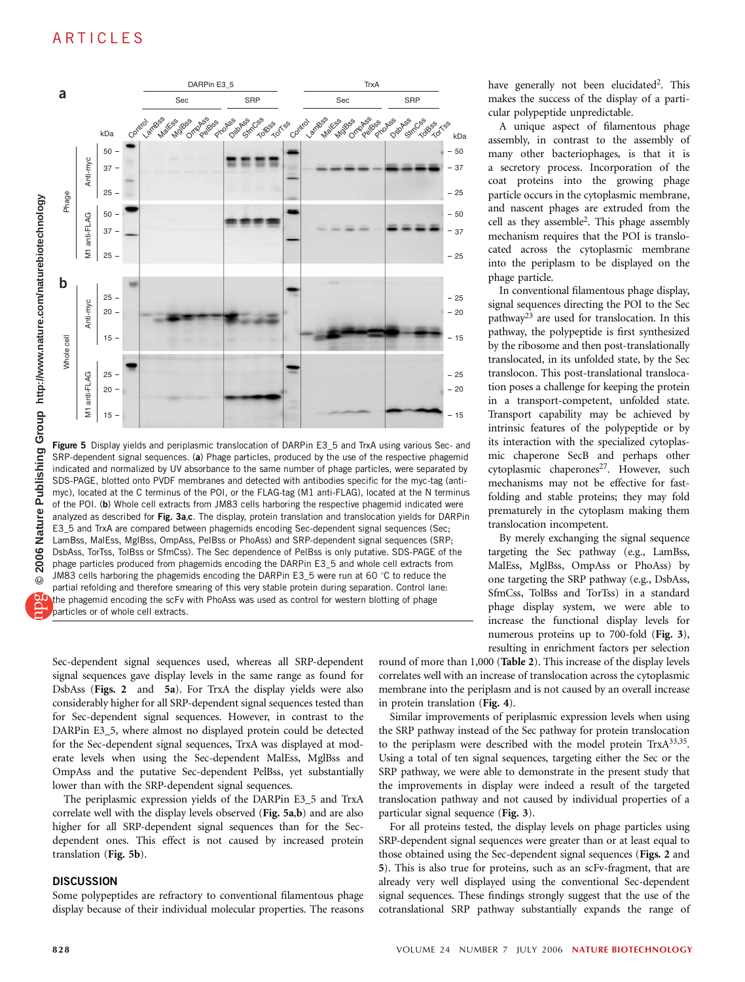# ARTICLES



Figure 5 Display yields and periplasmic translocation of DARPin E3\_5 and TrxA using various Sec- and SRP-dependent signal sequences. (a) Phage particles, produced by the use of the respective phagemid indicated and normalized by UV absorbance to the same number of phage particles, were separated by SDS-PAGE, blotted onto PVDF membranes and detected with antibodies specific for the myc-tag (antimyc), located at the C terminus of the POI, or the FLAG-tag (M1 anti-FLAG), located at the N terminus of the POI. (b) Whole cell extracts from JM83 cells harboring the respective phagemid indicated were analyzed as described for Fig. 3a,c. The display, protein translation and translocation yields for DARPin E3\_5 and TrxA are compared between phagemids encoding Sec-dependent signal sequences (Sec; LamBss, MalEss, MglBss, OmpAss, PelBss or PhoAss) and SRP-dependent signal sequences (SRP; DsbAss, TorTss, TolBss or SfmCss). The Sec dependence of PelBss is only putative. SDS-PAGE of the phage particles produced from phagemids encoding the DARPin E3\_5 and whole cell extracts from JM83 cells harboring the phagemids encoding the DARPin E3\_5 were run at 60  $\degree$ C to reduce the partial refolding and therefore smearing of this very stable protein during separation. Control lane: the phagemid encoding the scFv with PhoAss was used as control for western blotting of phage particles or of whole cell extracts.

Sec-dependent signal sequences used, whereas all SRP-dependent signal sequences gave display levels in the same range as found for DsbAss (Figs. 2 and 5a). For TrxA the display yields were also considerably higher for all SRP-dependent signal sequences tested than for Sec-dependent signal sequences. However, in contrast to the DARPin E3\_5, where almost no displayed protein could be detected for the Sec-dependent signal sequences, TrxA was displayed at moderate levels when using the Sec-dependent MalEss, MglBss and OmpAss and the putative Sec-dependent PelBss, yet substantially lower than with the SRP-dependent signal sequences.

The periplasmic expression yields of the DARPin E3\_5 and TrxA correlate well with the display levels observed (Fig. 5a,b) and are also higher for all SRP-dependent signal sequences than for the Secdependent ones. This effect is not caused by increased protein translation (Fig. 5b).

### **DISCUSSION**

Some polypeptides are refractory to conventional filamentous phage display because of their individual molecular properties. The reasons have generally not been elucidated<sup>2</sup>. This makes the success of the display of a particular polypeptide unpredictable.

A unique aspect of filamentous phage assembly, in contrast to the assembly of many other bacteriophages, is that it is a secretory process. Incorporation of the coat proteins into the growing phage particle occurs in the cytoplasmic membrane, and nascent phages are extruded from the cell as they assemble2. This phage assembly mechanism requires that the POI is translocated across the cytoplasmic membrane into the periplasm to be displayed on the phage particle.

In conventional filamentous phage display, signal sequences directing the POI to the Sec pathway23 are used for translocation. In this pathway, the polypeptide is first synthesized by the ribosome and then post-translationally translocated, in its unfolded state, by the Sec translocon. This post-translational translocation poses a challenge for keeping the protein in a transport-competent, unfolded state. Transport capability may be achieved by intrinsic features of the polypeptide or by its interaction with the specialized cytoplasmic chaperone SecB and perhaps other cytoplasmic chaperones<sup>27</sup>. However, such mechanisms may not be effective for fastfolding and stable proteins; they may fold prematurely in the cytoplasm making them translocation incompetent.

By merely exchanging the signal sequence targeting the Sec pathway (e.g., LamBss, MalEss, MglBss, OmpAss or PhoAss) by one targeting the SRP pathway (e.g., DsbAss, SfmCss, TolBss and TorTss) in a standard phage display system, we were able to increase the functional display levels for numerous proteins up to 700-fold (Fig. 3), resulting in enrichment factors per selection

round of more than 1,000 (Table 2). This increase of the display levels correlates well with an increase of translocation across the cytoplasmic membrane into the periplasm and is not caused by an overall increase in protein translation (Fig. 4).

Similar improvements of periplasmic expression levels when using the SRP pathway instead of the Sec pathway for protein translocation to the periplasm were described with the model protein  $TrxA^{33,35}$ . Using a total of ten signal sequences, targeting either the Sec or the SRP pathway, we were able to demonstrate in the present study that the improvements in display were indeed a result of the targeted translocation pathway and not caused by individual properties of a particular signal sequence (Fig. 3).

For all proteins tested, the display levels on phage particles using SRP-dependent signal sequences were greater than or at least equal to those obtained using the Sec-dependent signal sequences (Figs. 2 and 5). This is also true for proteins, such as an scFv-fragment, that are already very well displayed using the conventional Sec-dependent signal sequences. These findings strongly suggest that the use of the cotranslational SRP pathway substantially expands the range of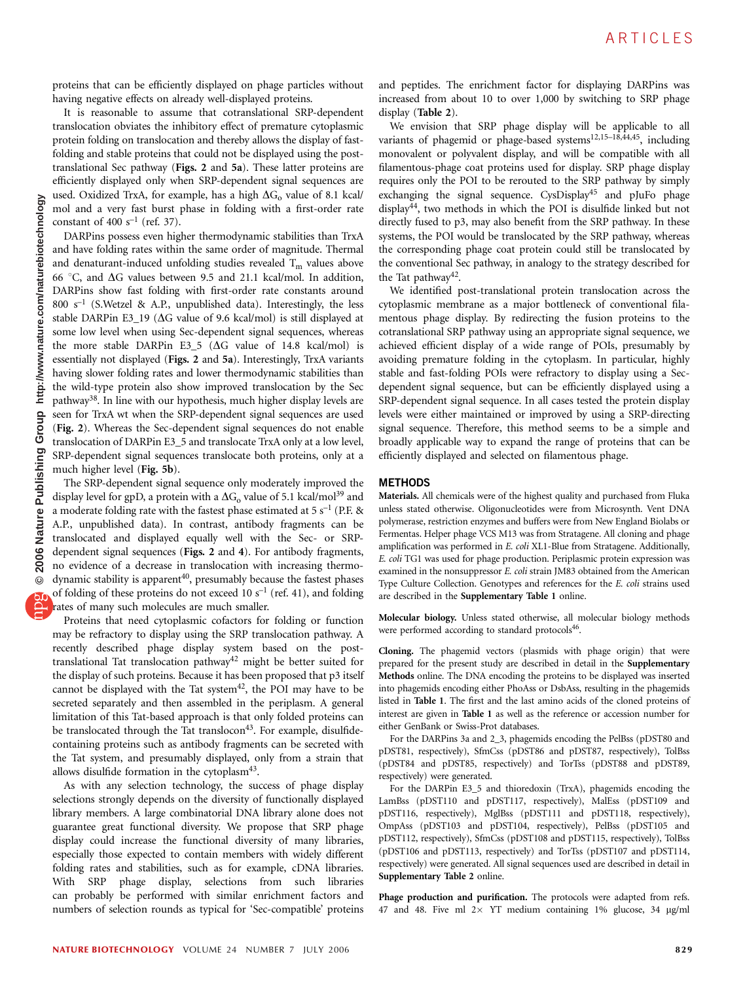proteins that can be efficiently displayed on phage particles without having negative effects on already well-displayed proteins.

It is reasonable to assume that cotranslational SRP-dependent translocation obviates the inhibitory effect of premature cytoplasmic protein folding on translocation and thereby allows the display of fastfolding and stable proteins that could not be displayed using the posttranslational Sec pathway (Figs. 2 and 5a). These latter proteins are efficiently displayed only when SRP-dependent signal sequences are used. Oxidized TrxA, for example, has a high  $\Delta G_0$  value of 8.1 kcal/ mol and a very fast burst phase in folding with a first-order rate constant of 400  $s^{-1}$  (ref. 37).

DARPins possess even higher thermodynamic stabilities than TrxA and have folding rates within the same order of magnitude. Thermal and denaturant-induced unfolding studies revealed  $T_m$  values above 66 °C, and  $\Delta G$  values between 9.5 and 21.1 kcal/mol. In addition, DARPins show fast folding with first-order rate constants around 800  $s^{-1}$  (S.Wetzel & A.P., unpublished data). Interestingly, the less stable DARPin E3\_19 ( $\Delta G$  value of 9.6 kcal/mol) is still displayed at some low level when using Sec-dependent signal sequences, whereas the more stable DARPin E3\_5 ( $\Delta G$  value of 14.8 kcal/mol) is essentially not displayed (Figs. 2 and 5a). Interestingly, TrxA variants having slower folding rates and lower thermodynamic stabilities than the wild-type protein also show improved translocation by the Sec pathway38. In line with our hypothesis, much higher display levels are seen for TrxA wt when the SRP-dependent signal sequences are used (Fig. 2). Whereas the Sec-dependent signal sequences do not enable translocation of DARPin E3\_5 and translocate TrxA only at a low level, SRP-dependent signal sequences translocate both proteins, only at a much higher level (Fig. 5b).

The SRP-dependent signal sequence only moderately improved the display level for gpD, a protein with a  $\Delta G_0$  value of 5.1 kcal/mol<sup>39</sup> and a moderate folding rate with the fastest phase estimated at 5  $s^{-1}$  (P.F. & A.P., unpublished data). In contrast, antibody fragments can be translocated and displayed equally well with the Sec- or SRPdependent signal sequences (Figs. 2 and 4). For antibody fragments, no evidence of a decrease in translocation with increasing thermodynamic stability is apparent<sup>40</sup>, presumably because the fastest phases of folding of these proteins do not exceed 10  $s^{-1}$  (ref. 41), and folding rates of many such molecules are much smaller.

Proteins that need cytoplasmic cofactors for folding or function may be refractory to display using the SRP translocation pathway. A recently described phage display system based on the posttranslational Tat translocation pathway<sup>42</sup> might be better suited for the display of such proteins. Because it has been proposed that p3 itself cannot be displayed with the Tat system<sup>42</sup>, the POI may have to be secreted separately and then assembled in the periplasm. A general limitation of this Tat-based approach is that only folded proteins can be translocated through the Tat translocon<sup>43</sup>. For example, disulfidecontaining proteins such as antibody fragments can be secreted with the Tat system, and presumably displayed, only from a strain that allows disulfide formation in the cytoplasm<sup>43</sup>.

As with any selection technology, the success of phage display selections strongly depends on the diversity of functionally displayed library members. A large combinatorial DNA library alone does not guarantee great functional diversity. We propose that SRP phage display could increase the functional diversity of many libraries, especially those expected to contain members with widely different folding rates and stabilities, such as for example, cDNA libraries. With SRP phage display, selections from such libraries can probably be performed with similar enrichment factors and numbers of selection rounds as typical for 'Sec-compatible' proteins and peptides. The enrichment factor for displaying DARPins was increased from about 10 to over 1,000 by switching to SRP phage display (Table 2).

We envision that SRP phage display will be applicable to all variants of phagemid or phage-based systems<sup>12,15-18,44,45</sup>, including monovalent or polyvalent display, and will be compatible with all filamentous-phage coat proteins used for display. SRP phage display requires only the POI to be rerouted to the SRP pathway by simply exchanging the signal sequence. CysDisplay<sup>45</sup> and pJuFo phage display44, two methods in which the POI is disulfide linked but not directly fused to p3, may also benefit from the SRP pathway. In these systems, the POI would be translocated by the SRP pathway, whereas the corresponding phage coat protein could still be translocated by the conventional Sec pathway, in analogy to the strategy described for the Tat pathway<sup>42</sup>.

We identified post-translational protein translocation across the cytoplasmic membrane as a major bottleneck of conventional filamentous phage display. By redirecting the fusion proteins to the cotranslational SRP pathway using an appropriate signal sequence, we achieved efficient display of a wide range of POIs, presumably by avoiding premature folding in the cytoplasm. In particular, highly stable and fast-folding POIs were refractory to display using a Secdependent signal sequence, but can be efficiently displayed using a SRP-dependent signal sequence. In all cases tested the protein display levels were either maintained or improved by using a SRP-directing signal sequence. Therefore, this method seems to be a simple and broadly applicable way to expand the range of proteins that can be efficiently displayed and selected on filamentous phage.

# METHODS

Materials. All chemicals were of the highest quality and purchased from Fluka unless stated otherwise. Oligonucleotides were from Microsynth. Vent DNA polymerase, restriction enzymes and buffers were from New England Biolabs or Fermentas. Helper phage VCS M13 was from Stratagene. All cloning and phage amplification was performed in E. coli XL1-Blue from Stratagene. Additionally, E. coli TG1 was used for phage production. Periplasmic protein expression was examined in the nonsuppressor E. coli strain JM83 obtained from the American Type Culture Collection. Genotypes and references for the E. coli strains used are described in the Supplementary Table 1 online.

Molecular biology. Unless stated otherwise, all molecular biology methods were performed according to standard protocols<sup>46</sup>.

Cloning. The phagemid vectors (plasmids with phage origin) that were prepared for the present study are described in detail in the Supplementary Methods online. The DNA encoding the proteins to be displayed was inserted into phagemids encoding either PhoAss or DsbAss, resulting in the phagemids listed in Table 1. The first and the last amino acids of the cloned proteins of interest are given in Table 1 as well as the reference or accession number for either GenBank or Swiss-Prot databases.

For the DARPins 3a and 2\_3, phagemids encoding the PelBss (pDST80 and pDST81, respectively), SfmCss (pDST86 and pDST87, respectively), TolBss (pDST84 and pDST85, respectively) and TorTss (pDST88 and pDST89, respectively) were generated.

For the DARPin E3\_5 and thioredoxin (TrxA), phagemids encoding the LamBss (pDST110 and pDST117, respectively), MalEss (pDST109 and pDST116, respectively), MglBss (pDST111 and pDST118, respectively), OmpAss (pDST103 and pDST104, respectively), PelBss (pDST105 and pDST112, respectively), SfmCss (pDST108 and pDST115, respectively), TolBss (pDST106 and pDST113, respectively) and TorTss (pDST107 and pDST114, respectively) were generated. All signal sequences used are described in detail in Supplementary Table 2 online.

Phage production and purification. The protocols were adapted from refs. 47 and 48. Five ml  $2 \times$  YT medium containing 1% glucose, 34  $\mu$ g/ml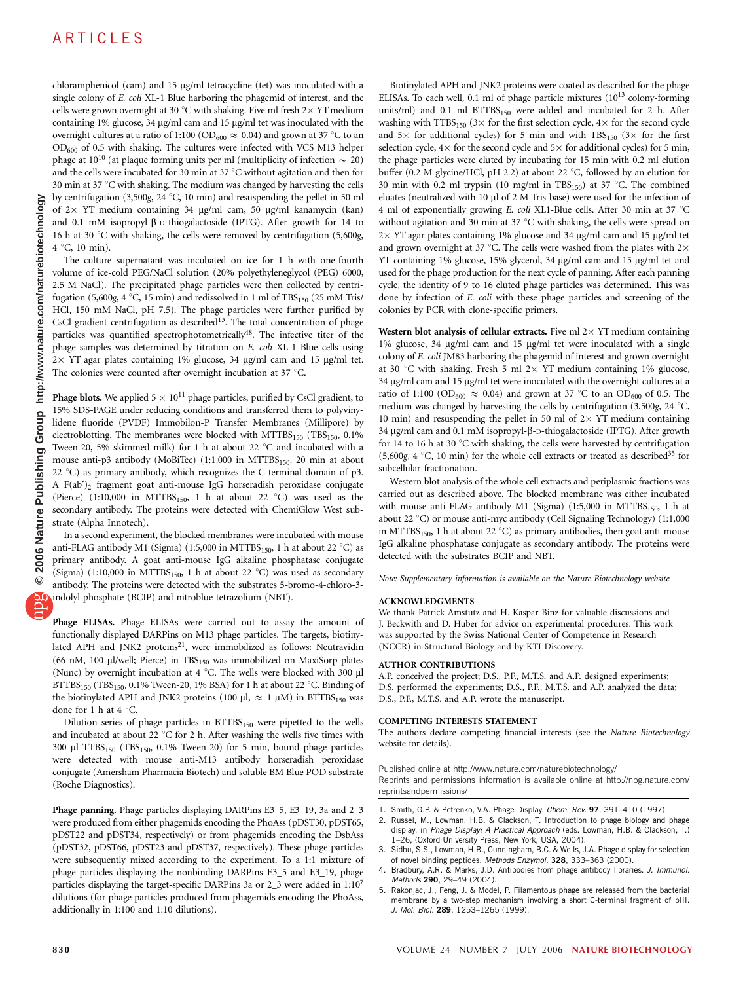# ARTICLES

chloramphenicol (cam) and 15 µg/ml tetracycline (tet) was inoculated with a single colony of E. coli XL-1 Blue harboring the phagemid of interest, and the cells were grown overnight at 30 °C with shaking. Five ml fresh  $2 \times$  YT medium containing 1% glucose, 34  $\mu$ g/ml cam and 15  $\mu$ g/ml tet was inoculated with the overnight cultures at a ratio of 1:100 (OD<sub>600</sub>  $\approx$  0.04) and grown at 37 °C to an OD600 of 0.5 with shaking. The cultures were infected with VCS M13 helper phage at 10<sup>10</sup> (at plaque forming units per ml (multiplicity of infection  $\sim 20$ ) and the cells were incubated for 30 min at 37  $\degree$ C without agitation and then for 30 min at 37  $\degree$ C with shaking. The medium was changed by harvesting the cells by centrifugation (3,500g, 24 °C, 10 min) and resuspending the pellet in 50 ml of  $2 \times$  YT medium containing 34 µg/ml cam, 50 µg/ml kanamycin (kan) and 0.1 mM isopropyl- $\beta$ -D-thiogalactoside (IPTG). After growth for 14 to 16 h at 30  $\degree$ C with shaking, the cells were removed by centrifugation (5,600g,  $4^{\circ}$ C, 10 min).

The culture supernatant was incubated on ice for 1 h with one-fourth volume of ice-cold PEG/NaCl solution (20% polyethyleneglycol (PEG) 6000, 2.5 M NaCl). The precipitated phage particles were then collected by centrifugation (5,600g, 4 °C, 15 min) and redissolved in 1 ml of TBS<sub>150</sub> (25 mM Tris/ HCl, 150 mM NaCl, pH 7.5). The phage particles were further purified by CsCl-gradient centrifugation as described<sup>13</sup>. The total concentration of phage particles was quantified spectrophotometrically<sup>48</sup>. The infective titer of the phage samples was determined by titration on E. coli XL-1 Blue cells using  $2 \times$  YT agar plates containing 1% glucose, 34 µg/ml cam and 15 µg/ml tet. The colonies were counted after overnight incubation at 37  $^{\circ}$ C.

**Phage blots.** We applied  $5 \times 10^{11}$  phage particles, purified by CsCl gradient, to 15% SDS-PAGE under reducing conditions and transferred them to polyvinylidene fluoride (PVDF) Immobilon-P Transfer Membranes (Millipore) by electroblotting. The membranes were blocked with  $MTTBS<sub>150</sub>$  (TBS<sub>150</sub>, 0.1%) Tween-20, 5% skimmed milk) for 1 h at about 22  $^{\circ}$ C and incubated with a mouse anti-p3 antibody (MoBiTec) (1:1,000 in MTTBS<sub>150</sub>, 20 min at about 22 °C) as primary antibody, which recognizes the C-terminal domain of  $p3$ . A F(ab*¢*)2 fragment goat anti-mouse IgG horseradish peroxidase conjugate (Pierce) (1:10,000 in  $MTTBS<sub>150</sub>$ , 1 h at about 22 °C) was used as the secondary antibody. The proteins were detected with ChemiGlow West substrate (Alpha Innotech).

In a second experiment, the blocked membranes were incubated with mouse anti-FLAG antibody M1 (Sigma) (1:5,000 in MTTBS<sub>150</sub>, 1 h at about 22 °C) as primary antibody. A goat anti-mouse IgG alkaline phosphatase conjugate (Sigma) (1:10,000 in MTTBS<sub>150</sub>, 1 h at about 22 °C) was used as secondary antibody. The proteins were detected with the substrates 5-bromo-4-chloro-3 indolyl phosphate (BCIP) and nitroblue tetrazolium (NBT).

Phage ELISAs. Phage ELISAs were carried out to assay the amount of functionally displayed DARPins on M13 phage particles. The targets, biotinylated APH and JNK2 proteins<sup>21</sup>, were immobilized as follows: Neutravidin (66 nM, 100 µl/well; Pierce) in  $TBS<sub>150</sub>$  was immobilized on MaxiSorp plates (Nunc) by overnight incubation at 4  $^{\circ}$ C. The wells were blocked with 300  $\mu$ l  $\mathrm{BTTBS}_{150}$  (TBS<sub>150</sub>, 0.1% Tween-20, 1% BSA) for 1 h at about 22 °C. Binding of the biotinylated APH and JNK2 proteins (100 µl,  $\approx$  1 µM) in BTTBS<sub>150</sub> was done for 1 h at 4  $^{\circ}$ C.

Dilution series of phage particles in BTTBS<sub>150</sub> were pipetted to the wells and incubated at about 22  $\degree$ C for 2 h. After washing the wells five times with 300 µl TTBS<sub>150</sub> (TBS<sub>150</sub>, 0.1% Tween-20) for 5 min, bound phage particles were detected with mouse anti-M13 antibody horseradish peroxidase conjugate (Amersham Pharmacia Biotech) and soluble BM Blue POD substrate (Roche Diagnostics).

Phage panning. Phage particles displaying DARPins E3\_5, E3\_19, 3a and 2\_3 were produced from either phagemids encoding the PhoAss (pDST30, pDST65, pDST22 and pDST34, respectively) or from phagemids encoding the DsbAss (pDST32, pDST66, pDST23 and pDST37, respectively). These phage particles were subsequently mixed according to the experiment. To a 1:1 mixture of phage particles displaying the nonbinding DARPins E3\_5 and E3\_19, phage particles displaying the target-specific DARPins 3a or 2\_3 were added in 1:107 dilutions (for phage particles produced from phagemids encoding the PhoAss, additionally in 1:100 and 1:10 dilutions).

Biotinylated APH and JNK2 proteins were coated as described for the phage ELISAs. To each well, 0.1 ml of phage particle mixtures  $(10^{13}$  colony-forming units/ml) and 0.1 ml  $BTTBS<sub>150</sub>$  were added and incubated for 2 h. After washing with TTBS<sub>150</sub> (3 $\times$  for the first selection cycle, 4 $\times$  for the second cycle and  $5\times$  for additional cycles) for 5 min and with TBS<sub>150</sub> ( $3\times$  for the first selection cycle,  $4 \times$  for the second cycle and  $5 \times$  for additional cycles) for 5 min, the phage particles were eluted by incubating for 15 min with 0.2 ml elution buffer (0.2 M glycine/HCl, pH 2.2) at about 22  $\degree$ C, followed by an elution for 30 min with 0.2 ml trypsin (10 mg/ml in TBS<sub>150</sub>) at 37 °C. The combined eluates (neutralized with 10 µl of 2 M Tris-base) were used for the infection of 4 ml of exponentially growing E. coli XL1-Blue cells. After 30 min at 37 °C without agitation and 30 min at 37 $\degree$ C with shaking, the cells were spread on  $2 \times$  YT agar plates containing 1% glucose and 34  $\mu$ g/ml cam and 15  $\mu$ g/ml tet and grown overnight at 37 °C. The cells were washed from the plates with  $2\times$ YT containing 1% glucose, 15% glycerol, 34 µg/ml cam and 15 µg/ml tet and used for the phage production for the next cycle of panning. After each panning cycle, the identity of 9 to 16 eluted phage particles was determined. This was done by infection of E. coli with these phage particles and screening of the colonies by PCR with clone-specific primers.

Western blot analysis of cellular extracts. Five ml  $2 \times$  YT medium containing 1% glucose, 34 µg/ml cam and 15 µg/ml tet were inoculated with a single colony of E. coli JM83 harboring the phagemid of interest and grown overnight at 30 °C with shaking. Fresh 5 ml  $2 \times$  YT medium containing 1% glucose, 34 µg/ml cam and 15 µg/ml tet were inoculated with the overnight cultures at a ratio of 1:100 (OD<sub>600</sub>  $\approx$  0.04) and grown at 37 °C to an OD<sub>600</sub> of 0.5. The medium was changed by harvesting the cells by centrifugation (3,500g, 24  $^{\circ}$ C, 10 min) and resuspending the pellet in 50 ml of  $2 \times$  YT medium containing 34 μg/ml cam and 0.1 mM isopropyl-β-D-thiogalactoside (IPTG). After growth for 14 to 16 h at 30 $\degree$ C with shaking, the cells were harvested by centrifugation (5,600g, 4 °C, 10 min) for the whole cell extracts or treated as described<sup>35</sup> for subcellular fractionation.

Western blot analysis of the whole cell extracts and periplasmic fractions was carried out as described above. The blocked membrane was either incubated with mouse anti-FLAG antibody M1 (Sigma) (1:5,000 in MTTBS<sub>150</sub>, 1 h at about 22 °C) or mouse anti-myc antibody (Cell Signaling Technology) (1:1,000 in MTTBS<sub>150</sub>, 1 h at about 22 °C) as primary antibodies, then goat anti-mouse IgG alkaline phosphatase conjugate as secondary antibody. The proteins were detected with the substrates BCIP and NBT.

Note: Supplementary information is available on the Nature Biotechnology website.

#### ACKNOWLEDGMENTS

We thank Patrick Amstutz and H. Kaspar Binz for valuable discussions and J. Beckwith and D. Huber for advice on experimental procedures. This work was supported by the Swiss National Center of Competence in Research (NCCR) in Structural Biology and by KTI Discovery.

#### AUTHOR CONTRIBUTIONS

A.P. conceived the project; D.S., P.F., M.T.S. and A.P. designed experiments; D.S. performed the experiments; D.S., P.F., M.T.S. and A.P. analyzed the data; D.S., P.F., M.T.S. and A.P. wrote the manuscript.

#### COMPETING INTERESTS STATEMENT

The authors declare competing financial interests (see the Nature Biotechnology website for details).

Published online at http://www.nature.com/naturebiotechnology/ Reprints and permissions information is available online at http://npg.nature.com/ reprintsandpermissions/

- 1. Smith, G.P. & Petrenko, V.A. Phage Display. Chem. Rev. 97, 391–410 (1997).
- 2. Russel, M., Lowman, H.B. & Clackson, T. Introduction to phage biology and phage display. in Phage Display: A Practical Approach (eds. Lowman, H.B. & Clackson, T.) 1–26, (Oxford University Press, New York, USA, 2004).
- 3. Sidhu, S.S., Lowman, H.B., Cunningham, B.C. & Wells, J.A. Phage display for selection of novel binding peptides. Methods Enzymol. 328, 333–363 (2000).
- Bradbury, A.R. & Marks, J.D. Antibodies from phage antibody libraries. J. Immunol. Methods 290, 29–49 (2004).
- 5. Rakonjac, J., Feng, J. & Model, P. Filamentous phage are released from the bacterial membrane by a two-step mechanism involving a short C-terminal fragment of pIII. J. Mol. Biol. 289, 1253-1265 (1999).

**© 2006 Nature Publishing Group http://www.nature.com/naturebiotechnology**

Group

Publishing

2006 Nature

 $\odot$ 

http://www.nature.com/naturebiotechnology